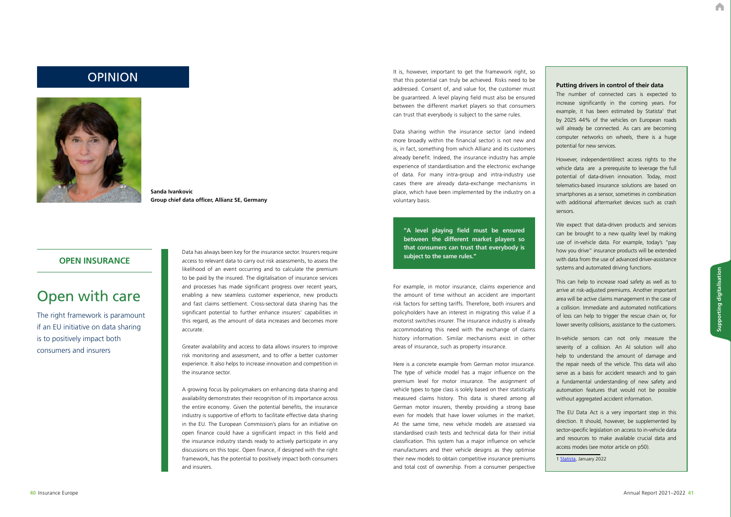A

# Open with care

The right framework is paramount if an EU initiative on data sharing is to positively impact both consumers and insurers

## **OPEN INSURANCE**

Data has always been key for the insurance sector. Insurers require access to relevant data to carry out risk assessments, to assess the likelihood of an event occurring and to calculate the premium to be paid by the insured. The digitalisation of insurance services and processes has made significant progress over recent years, enabling a new seamless customer experience, new products and fast claims settlement. Cross-sectoral data sharing has the significant potential to further enhance insurers' capabilities in this regard, as the amount of data increases and becomes more accurate.

Greater availability and access to data allows insurers to improve risk monitoring and assessment, and to offer a better customer experience. It also helps to increase innovation and competition in the insurance sector.

It is, however, important to get the framework right, so that this potential can truly be achieved. Risks need to be the framework right, so that this potential can truly be achieved. Risks need to be addressed. Consent of, and value for, the customer must be guaranteed. A level playing field must also be ensured between the different market players so that consumers can trust that everybody is subject to the same rules.

> A growing focus by policymakers on enhancing data sharing and availability demonstrates their recognition of its importance across the entire economy. Given the potential benefits, the insurance industry is supportive of efforts to facilitate effective data sharing in the EU. The European Commission's plans for an initiative on open finance could have a significant impact in this field and the insurance industry stands ready to actively participate in any discussions on this topic. Open finance, if designed with the right framework, has the potential to positively impact both consumers and insurers.



**Sanda Ivankovic Group chief data officer, Allianz SE, Germany**

Data sharing within the insurance sector (and indeed more broadly within the financial sector) is not new and is, in fact, something from which Allianz and its customers already benefit. Indeed, the insurance industry has ample experience of standardisation and the electronic exchange of data. For many intra-group and intra-industry use cases there are already data-exchange mechanisms in place, which have been implemented by the industry on a voluntary basis.

For example, in motor insurance, claims experience and the amount of time without an accident are important risk factors for setting tariffs. Therefore, both insurers and policyholders have an interest in migrating this value if a motorist switches insurer. The insurance industry is already accommodating this need with the exchange of claims history information. Similar mechanisms exist in other areas of insurance, such as property insurance.

Here is a concrete example from German motor insurance. The type of vehicle model has a major influence on the premium level for motor insurance. The assignment of vehicle types to type class is solely based on their statistically measured claims history. This data is shared among all German motor insurers, thereby providing a strong base even for models that have lower volumes in the market. At the same time, new vehicle models are assessed via standardised crash tests and technical data for their initial classification. This system has a major influence on vehicle manufacturers and their vehicle designs as they optimise their new models to obtain competitive insurance premiums and total cost of ownership. From a consumer perspective The number of connected cars is expected to increase significantly in the coming years. For example, it has been estimated by Statista<sup>1</sup> that by 2025 44% of the vehicles on European roads will already be connected. As cars are becoming computer networks on wheels, there is a huge potential for new services.

However, independent/direct access rights to the vehicle data are a prerequisite to leverage the full potential of data-driven innovation. Today, most telematics-based insurance solutions are based on smartphones as a sensor, sometimes in combination with additional aftermarket devices such as crash sensors.

We expect that data-driven products and services can be brought to a new quality level by making use of in-vehicle data. For example, today's "pay how you drive" insurance products will be extended with data from the use of advanced driver-assistance systems and automated driving functions.

This can help to increase road safety as well as to arrive at risk-adjusted premiums. Another important area will be active claims management in the case of a collision. Immediate and automated notifications of loss can help to trigger the rescue chain or, for lower severity collisions, assistance to the customers.

In-vehicle sensors can not only measure the severity of a collision. An AI solution will also help to understand the amount of damage and the repair needs of the vehicle. This data will also serve as a basis for accident research and to gain a fundamental understanding of new safety and automation features that would not be possible without aggregated accident information.

The EU Data Act is a very important step in this direction. It should, however, be supplemented by sector-specific legislation on access to in-vehicle data and resources to make available crucial data and access modes (see motor article on p50).

1 [Statista,](https://eur03.safelinks.protection.outlook.com/?url=https%3A%2F%2Fde.statista.com%2Fstatistik%2Fdaten%2Fstudie%2F1246767%2Fumfrage%2Fanteil-vernetzter-pkw-am-bestand-in-europa%2F&data=05%7C01%7C%7C98886c5983f44a78fb6208da42cfffc1%7C2f60d7a56a7b4f90a0d47e6a0ea5ae9e%7C0%7C0%7C637895758384383227%7CUnknown%7CTWFpbGZsb3d8eyJWIjoiMC4wLjAwMDAiLCJQIjoiV2luMzIiLCJBTiI6Ik1haWwiLCJXVCI6Mn0%3D%7C3000%7C%7C%7C&sdata=YaS0AxDdqe%2BTyQRHoI%2F8TocnLZL9mHMBItTtN4JL8HM%3D&reserved=0) January 2022

**"A level playing field must be ensured between the different market players so that consumers can trust that everybody is subject to the same rules."**